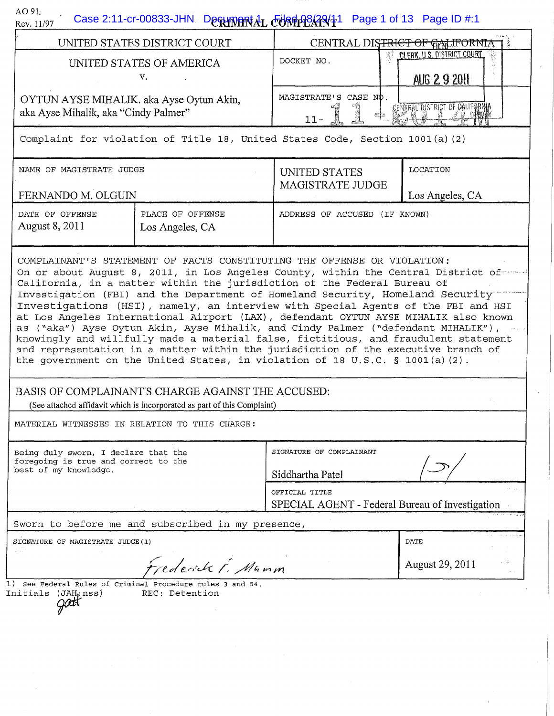| AO91<br>Rev. 11/97                                                                                    | Case 2:11-cr-00833-JHN Decument 4L EURGHP8ARY1 Page 1 of 13 Page ID #:1                                                                                                                                                                                                                                                                                                                                                                                                                                                                                                         |                                                                                  |                                                   |
|-------------------------------------------------------------------------------------------------------|---------------------------------------------------------------------------------------------------------------------------------------------------------------------------------------------------------------------------------------------------------------------------------------------------------------------------------------------------------------------------------------------------------------------------------------------------------------------------------------------------------------------------------------------------------------------------------|----------------------------------------------------------------------------------|---------------------------------------------------|
| UNITED STATES DISTRICT COURT                                                                          |                                                                                                                                                                                                                                                                                                                                                                                                                                                                                                                                                                                 | CENTRAL DISTRICT OF GALIFORNIA<br>≸ ד                                            |                                                   |
| UNITED STATES OF AMERICA<br>v.                                                                        |                                                                                                                                                                                                                                                                                                                                                                                                                                                                                                                                                                                 | DOCKET NO.                                                                       | <b>CLERK, U.S. DISTRICT COURT</b><br>AUG 2 9 2011 |
| OYTUN AYSE MIHALIK. aka Ayse Oytun Akin,<br>aka Ayse Mihalik, aka "Cindy Palmer"                      |                                                                                                                                                                                                                                                                                                                                                                                                                                                                                                                                                                                 | MAGISTRATE'S CASE NO.<br>CENTRAL DISTRICT OF CALIFORNIA<br><b>EEEE</b><br>$11 -$ |                                                   |
|                                                                                                       | Complaint for violation of Title 18, United States Code, Section 1001(a)(2)                                                                                                                                                                                                                                                                                                                                                                                                                                                                                                     |                                                                                  |                                                   |
| NAME OF MAGISTRATE JUDGE<br>FERNANDO M. OLGUIN                                                        |                                                                                                                                                                                                                                                                                                                                                                                                                                                                                                                                                                                 | UNITED STATES<br><b>MAGISTRATE JUDGE</b>                                         | LOCATION<br>Los Angeles, CA                       |
| DATE OF OFFENSE<br>August 8, 2011                                                                     | PLACE OF OFFENSE<br>Los Angeles, CA                                                                                                                                                                                                                                                                                                                                                                                                                                                                                                                                             | ADDRESS OF ACCUSED (IF KNOWN)                                                    |                                                   |
|                                                                                                       | Investigations (HSI), namely, an interview with Special Agents of the FBI and HSI<br>at Los Angeles International Airport (LAX), defendant OYTUN AYSE MIHALIK also known<br>as ("aka") Ayse Oytun Akin, Ayse Mihalik, and Cindy Palmer ("defendant MIHALIK"),<br>knowingly and willfully made a material false, fictitious, and fraudulent statement<br>and representation in a matter within the jurisdiction of the executive branch of<br>the government on the United States, in violation of 18 U.S.C. § 1001(a)(2).<br>BASIS OF COMPLAINANT'S CHARGE AGAINST THE ACCUSED: |                                                                                  |                                                   |
|                                                                                                       | (See attached affidavit which is incorporated as part of this Complaint)                                                                                                                                                                                                                                                                                                                                                                                                                                                                                                        |                                                                                  |                                                   |
|                                                                                                       | MATERIAL WITNESSES IN RELATION TO THIS CHARGE:                                                                                                                                                                                                                                                                                                                                                                                                                                                                                                                                  |                                                                                  |                                                   |
| Being duly sworn, I declare that the<br>foregoing is true and correct to the<br>best of my knowledge. |                                                                                                                                                                                                                                                                                                                                                                                                                                                                                                                                                                                 | SIGNATURE OF COMPLAINANT<br>Siddhartha Patel                                     |                                                   |
|                                                                                                       |                                                                                                                                                                                                                                                                                                                                                                                                                                                                                                                                                                                 | OFFICIAL TITLE<br>SPECIAL AGENT - Federal Bureau of Investigation                |                                                   |
|                                                                                                       | Sworn to before me and subscribed in my presence,                                                                                                                                                                                                                                                                                                                                                                                                                                                                                                                               |                                                                                  |                                                   |
| SIGNATURE OF MAGISTRATE JUDGE (1)<br>A.                                                               |                                                                                                                                                                                                                                                                                                                                                                                                                                                                                                                                                                                 |                                                                                  | DATE                                              |
| Frederick F. Mumm                                                                                     |                                                                                                                                                                                                                                                                                                                                                                                                                                                                                                                                                                                 |                                                                                  | August 29, 2011                                   |
| Initials (JAH;nss)                                                                                    | $1)$ See Federal Rules of Criminal Procedure rules 3 and 54.<br>REC: Detention                                                                                                                                                                                                                                                                                                                                                                                                                                                                                                  |                                                                                  |                                                   |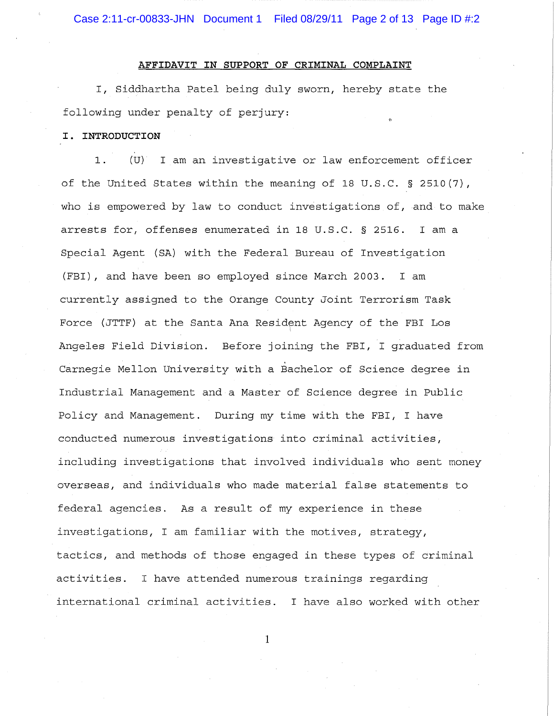Case 2:11-cr-00833-JHN Document 1 Filed 08/29/11 Page 2 of 13 Page ID #:2

### **AFFIDAVIT IN SUPPORT OF CRIMINAL COMPLAINT**

I, Siddhartha Patel being duly sworn, hereby state the following under penalty of perjury:

# **I. INTRODUCTION**

1. (U) I am an investigative or law enforcement officer of the United States within the meaning of 18 U.S.C. § 2510(7), who is empowered by law to conduct investigations of, and to make arrests for, offenses enumerated in 18 U.S.C. § 2516. I am a Special Agent (SA) with the Federal Bureau of Investigation (FBI), and have been so employed since March 2003. I am currently assigned to the Orange County Joint Terrorism Task Force (JTTF) at the Santa Ana Resident Agency of the FBI Los Angeles Field Division. Before joining the FBI, I graduated from Carnegie Mellon University with a Bachelor of Science degree in Industrial Management and a Master of Science degree in Public Policy and Management. During my time with the FBI, I have conducted numerous investigations into criminal activities, including investigations that involved individuals who sent money overseas, and individuals who made material false statements to federal agencies. As a result of my experience in these investigations, I am familiar with the motives, strategy, tactics, and methods of those engaged in these types of criminal activities. I have attended numerous trainings regarding international criminal activities. I have also worked with other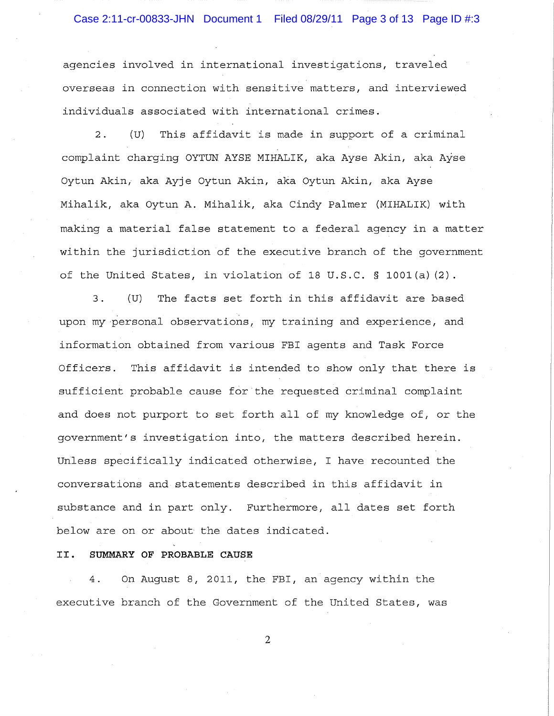# Case 2:11-cr-00833-JHN Document 1 Filed 08/29/11 Page 3 of 13 Page ID #:3

agencies involved in international investigations, traveled overseas in connection with sensitive matters, and interviewed individuals associated with international crimes.

2. (U) This affidavit is made in support of a criminal complaint charging OYTUN AYSE MIHALIK, aka Ayse Akin, aka Ayse Oytun Akin, aka Ayje Oytun Akin, aka Oytun Akin, aka Ayse Mihalik, aka Oytun A. Mihalik, aka Cindy Palmer (MIHALIK) with making a material false statement to a federal agency in a matter within the jurisdiction of the executive branch of the government of the United States, in violation of 18 U.S.C. § 1001(a) (2).

3. (U) The facts set forth in this affidavit are based upon my 'personal observations, my training and experience, and information obtained from various FBI agents and Task Force Officers. This affidavit is intended to show only that there is sufficient probable cause for the requested criminal complaint and does not purport to set forth all of my knowledge of, or the government's investigation into, the matters described herein. Unless specifically indicated otherwise, I have recounted the conversations and statements described in this affidavit in substance and in part only. Furthermore, all dates set forth below are on or about the dates indicated.

### **II. SUMMARY OF PROBABLE CAUSE**

4. On August 8, 2011, the FBI, an agency within the executive branch of the Government of the united States, was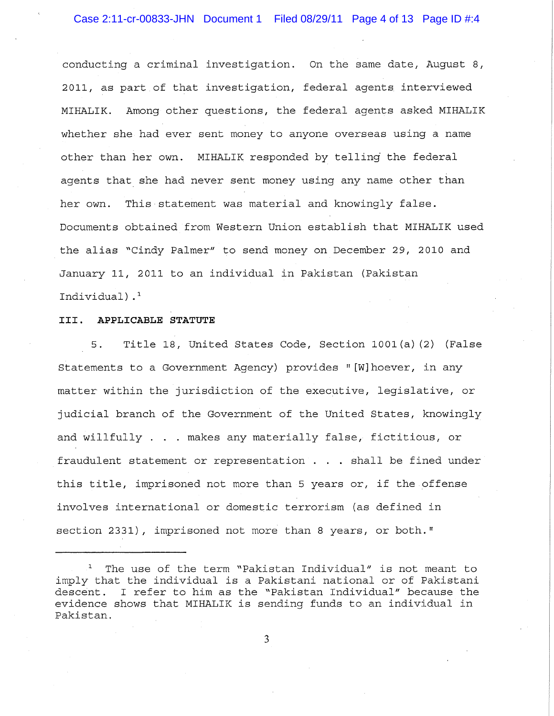conducting a criminal investigation. On the same date, August 8, 2011, as part of that investigation, federal agents interviewed MIHALIK. Among other questions, the federal agents asked MIHALIK whether she had ever sent money to anyone overseas using a name other than her own. MIHALIK responded by telling the federal agents that she had never sent money using any name other than her own. This statement was material and knowingly false. Documents obtained from Western Union establish that MIHALIK used the alias "Cindy Palmer" to send money on December 29, 2010 and January II, 2011 to an individual in Pakistan (Pakistan Individual) .1

### **III. APPLICABLE STATUTE**

5. Title 18, United States Code, Section 1001 (a) (2) (False Statements to a Government Agency) provides" [W]hoever, in any matter within the jurisdiction of the executive, legislative, or judicial branch of the Government of the United States, knowingly and willfully . . makes any materially false, fictitious, or fraudulent statement or representation  $\ldots$  shall be fined under this title, imprisoned not more than 5 years or, if the offense involves international or domestic terrorism (as defined in section 2331), imprisoned not more than 8 years, or both."

 $1$  The use of the term "Pakistan Individual" is not meant to imply that the individual is a Pakistani national or of Pakistani descent. I refer to him as the "Pakistan Individual" because the evidence shows that MIHALIK is sending funds to an individual in Pakistan.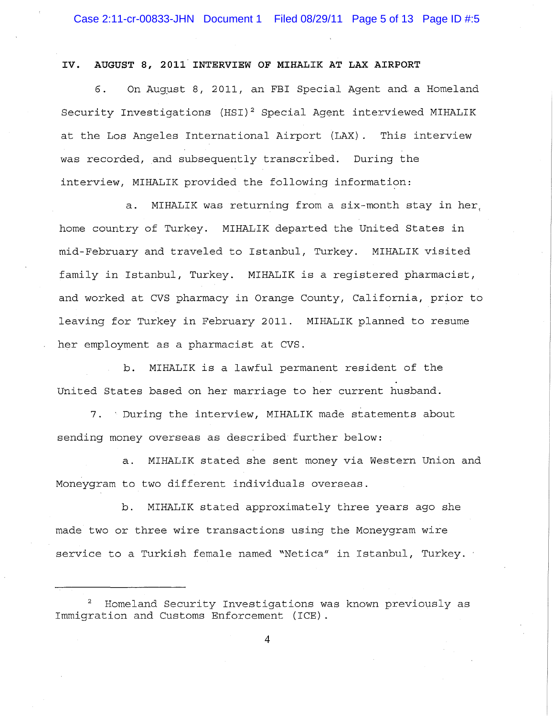#### **IV. AUGUST 8, 2011 INTERVIEW OF MIHALIK AT LAX AIRPORT**

6. On August 8, 2011, an FBI Special Agent and a Homeland Security Investigations (HSI)<sup>2</sup> Special Agent interviewed MIHALIK at the Los Angeles International Airport (LAX). This interview was recorded, and subsequently transcribed. During the interview, MIHALIK provided the following information:

a. MIHALIK was returning from a six-month stay in her, home country of Turkey. MIHALIK departed the United States in mid-February and traveled to Istanbul, Turkey. MIHALIK visited family in Istanbul, Turkey. MIHALIK is a registered pharmacist, and worked at CVS pharmacy in Orange County, California, prior to leaving for Turkey in February 2011. MIHALIK planned to resume her employment as a pharmacist at CVS.

b. MIHALIK is a lawful permanent resident of the United States based on her marriage to her current husband.

7. 'During the interview, MIHALIK made statements about sending money overseas as described further below:

a. MIHALIK stated she sent money via Western Union and Moneygram to two different individuals overseas.

b. MIHALIK stated approximately three years ago she made two or three wire transactions using the Moneygram wire service to a Turkish female named "Netica" in Istanbul, Turkey.

<sup>2</sup> Homeland Security Investigations was known previously as Immigration and Customs Enforcement (ICE).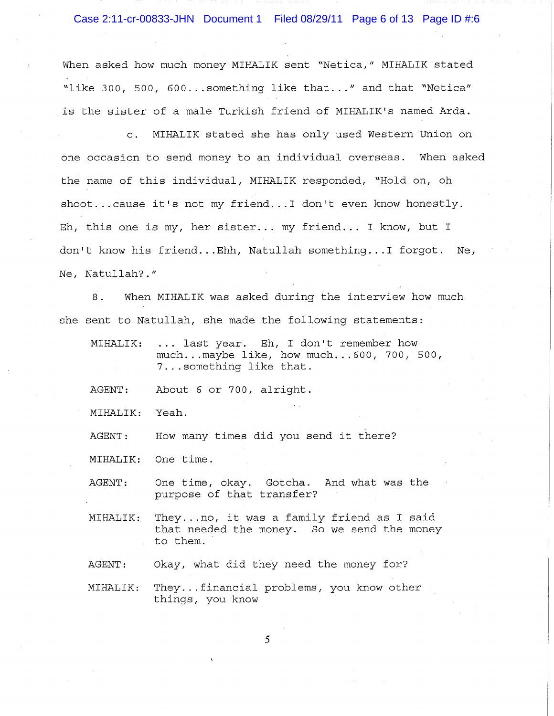## Case 2:11-cr-00833-JHN Document 1 Filed 08/29/11 Page 6 of 13 Page ID #:6

When asked how much money MIHALIK sent "Netica," MIHALIK stated "like 300, 500, 600... something like that..." and that "Netica" is the sister of a male Turkish friend of MIHALIK's named Arda.

c. MIHALIK stated she has only used Western Union on one occasion to send money to an individual overseas. When asked the name of this individual, MIHALIK responded, "Hold on, oh shoot... cause it's not my friend... I don't even know honestly. Eh, this one is my, her sister ... my **friend ...** I know, but I don't know his friend ... Ehh, Natullah something ... I forgot. Ne, Ne, Natullah?."

8. When MIHALIK was asked during the interview how much she sent to Natullah, she made the following statements:

MIHALIK: ... last year. Eh, I don't remember how much ... maybe like, how much ... 600, 700, 500, 7 ... something like that.

AGENT: About 6 or 700, alright.

MIHALIK: Yeah.

AGENT: How many times did you send it there?

MIHALIK: One time.

AGENT: One time, okay. Gotcha. And what was the purpose of that transfer?

MIHALIK: They .. *. no <sup>l</sup>*it was a family friend as I said that needed the money. So we send the money to them.

AGENT: Okay, what did they need the money for?

MIHALIK: They...financial problems, you know other things, you know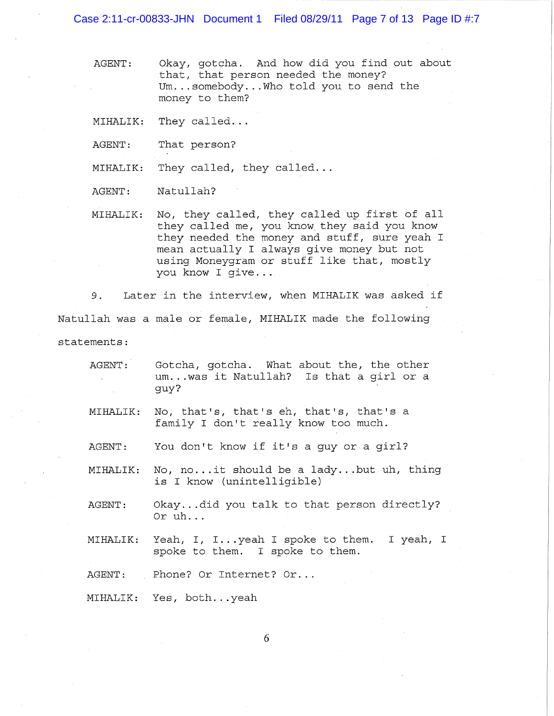Case 2:11-cr-00833-JHN Document 1 Filed 08/29/11 Page 7 of 13 Page ID #:7

AGENT: Okay, gotcha. And how did you find out about that, that person needed the money? Um...somebody...Who told you to send the money to them?

MIHALIK: They **called ...** 

AGENT: That person?

MIHALIK: They called, they called...

AGENT: Natullah?

MIHALIK: No, they called, they called up first of all they called me, you know they said you know they needed the money and stuff, sure yeah I mean actually I always give money but not using Moneygram or stuff like that, mostly you know I give...

9. Later in the interview, when MIHALIK was asked if Natullah was a male or female, MIHALIK made the following statements:

- AGENT: Gotcha, gotcha. What about the, the other um... was it Natullah? Is that a girl or a guy?
- MIHALIK: No, that's, that's eh, that's, that's a family I don't really know too much.
- AGENT: You don't know if it's a guy or a girl?
- MIHALIK: No, no... it should be a lady... but uh, thing is I know (unintelligible)
- AGENT: Okay...did you talk to that person directly? Or uh...
- MIHALIK: Yeah, I, **I ..** . yeah I spoke to them. I yeah, I spoke to them. I spoke to them.

AGENT: Phone? Or Internet? Or...

MIHALIK: Yes, both...yeah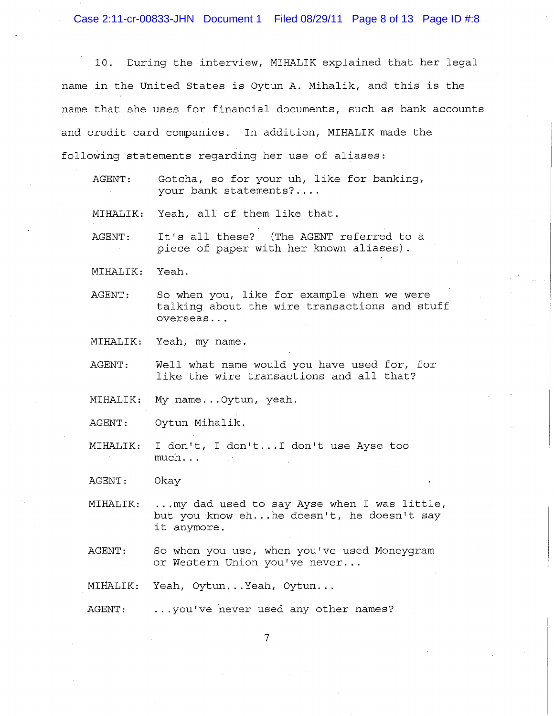Case 2:11-cr-00833-JHN Document 1 Filed 08/29/11 Page 8 of 13 Page ID #:8

10. During the interview, MIHALIK explained that her legal name in the United States is Oytun A. Mihalik, and this is the name that she uses for financial documents, such as bank accounts and credit card companies. In addition, MIHALIK made the following statements regarding her use of aliases:

AGENT: Gotcha, so for your uh, like for banking, your bank statements? ...

MIHALIK: Yeah, all of them like that.

AGENT: It's all these? (The AGENT referred to a piece of paper with her known aliases) .

MIHALIK: Yeah.

AGENT: So when you, like for example when we were talking about the wire transactions and stuff overseas ...

MIHALIK: Yeah, my name.

AGENT: Well what name would you have used for, for like the wire transactions and all that?

MIHALIK: My name... Oytun, yeah.

AGENT: Oytun Mihalik.

MIHALIK: I don't, I don't... I don't use Ayse too much ...

AGENT: Okay

MIHALIK:  $\ldots$  my dad used to say Ayse when I was little, but you know eh... he doesn't, he doesn't say it anymore.

AGENT: So when you use, when you've used Moneygram or Western Union you've **never ...** 

MIHALIK: Yeah, Oytun...Yeah, Oytun...

AGENT: ... you've never used any other names?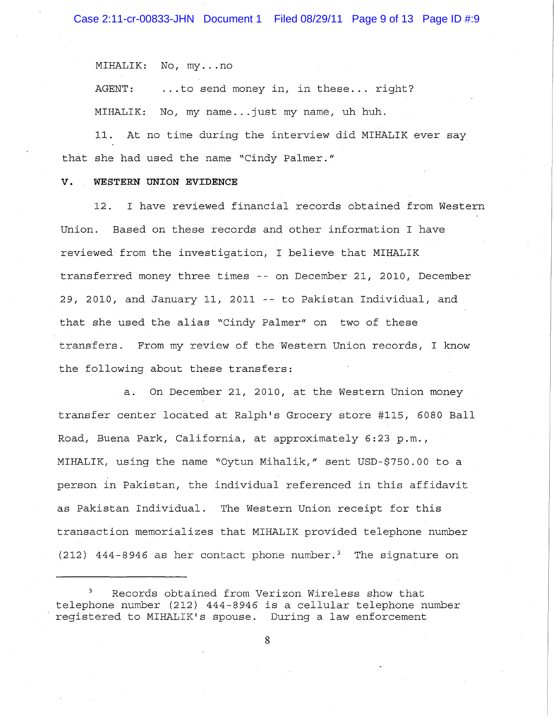MIHALIK: No, my...no

AGENT: ... to send money in, in these... right? MIHALIK: No, my name...just my name, uh huh.

11. At no time during the interview did MIHALIK ever say that she had used the name "Cindy Palmer."

#### **V. WESTERN UNION EVIDENCE**

12. I have reviewed financial records obtained from Western Union. Based on these records and other information I have reviewed from the investigation, I believe that MIHALIK transferred money three times -- on December 21, 2010, December 29, 2010, and January 11, 2011 -- to Pakistan Individual, and that she used the alias "Cindy Palmer" on two of these transfers. From my review of the Western Union records, I know the following about these transfers:

a. On December 21, 2010, at the Western Union money transfer center located at Ralph's Grocery store *#115 <sup>1</sup>*6080 Ball *Road*, Buena Park, California, at approximately 6:23 p.m., MIHALIK, using the name "Oytun Mihalik," sent USD-\$750.00 to a person in Pakistan, the individual referenced in this affidavit as Pakistan Individual. The Western Union receipt for this transaction memorializes that MIHALIK provided telephone number (212) 444-8946 as her contact phone number.<sup>3</sup> The signature on

Records obtained from Verizon Wireless show that telephone number (212) 444-8946 is a cellular telephone number registered to MIHALIK's spouse. During a law enforcement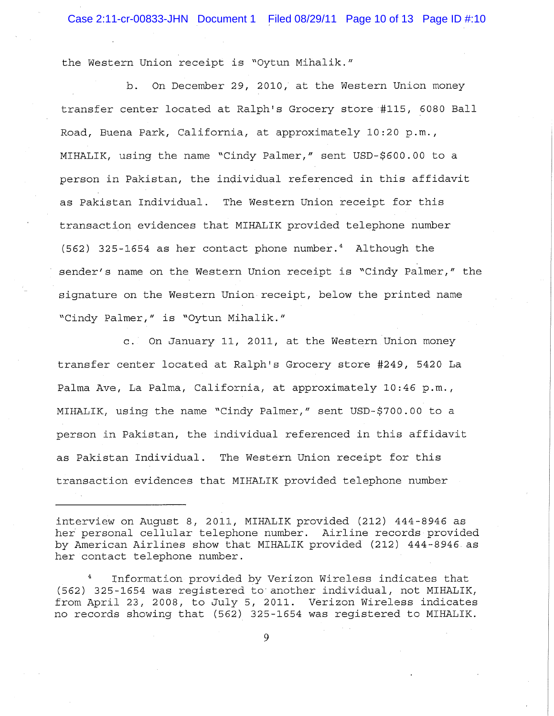## Case 2:11-cr-00833-JHN Document 1 Filed 08/29/11 Page 10 of 13 Page ID #:10

the Western Union receipt is "Oytun Mihalik."

b. On December 29, 2010, at the Western Union money transfer center located at Ralph's Grocery store #115, 6080 Ball Road, Buena Park, California, at approximately 10:20 p.m., MIHALIK, using the name "Cindy Palmer," sent USD-\$600.00 to a person in Pakistan, the individual referenced in this affidavit as Pakistan Individual. The Western Union receipt for this transaction evidences that MIHALIK provided telephone number (562) 325-1654 as her contact phone number.4 Although the sender's name on the Western Union receipt is "Cindy Palmer," the signature on the Western Union receipt, below the printed name "Cindy Palmer," is "Oytun Mihalik."

c. On January 11, 2011, at the Western Union money transfer center located at Ralph's Grocery store #249, 5420 La Palma Ave, La Palma, California, at approximately 10:46 p.m., MIHALIK, using the name "Cindy Palmer," sent USD-\$700.00 to a person in Pakistan, the individual referenced in this affidavit as Pakistan Individual. The Western Union receipt for this transaction evidences that MIHALIK provided telephone number

Information provided by Verizon Wireless indicates that (562) 325-1654 was registered to another individual, not MIHALIK, from April 23, 2008, to July 5, 2011. Verizon Wireless indicates no records showing that (562) 325-1654 was registered to MIHALIK.

interview on August 8, 2011, MIHALIK provided (212) 444-8946 as her personal cellular telephone number. Airline records provided by American Airlines show that MIHALIK provided (212) 444-8946 as her contact telephone number.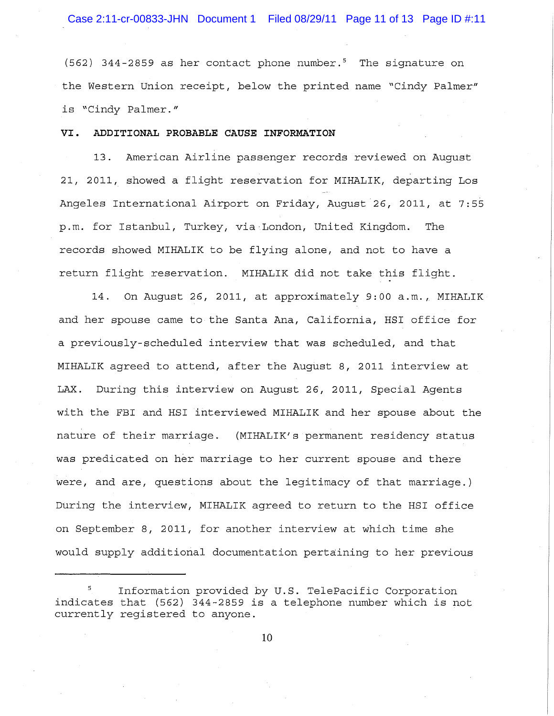(562) 344-2859 as her contact phone number.<sup>5</sup> The signature on the Western Union receipt, below the printed name "Cindy Palmer" is "Cindy Palmer."

#### **VI. ADDITIONAL PROBABLE CAUSE INFORMATION**

13. American Airline passenger records reviewed on August 21, 2011, showed a flight reservation for MIHALIK, departing Los Angeles International Airport on Friday, August 26, 2011, at 7:55 p.m. for Istanbul, Turkey, via London, United Kingdom. The records showed MIHALIK to be flying alone, and not to have a return flight reservation. MIHALIK did not take this flight.

14. On August 26, 2011, at approximately 9:00 a.m., MIHALIK and her spouse came to the Santa Ana, California, HSI office for a previously-scheduled interview that was scheduled, and that MIHALIK agreed to attend, after the August 8, 2011 interview at LAX. During this interview on August 26, 2011, Special Agents with the FBI and HSI interviewed MIHALIK and her spouse about the nature of their marriage. (MIHALIK's permanent residency status was predicated on her marriage to her current spouse and there were, and are, questions about the legitimacy of that marriage.) During the interview, MIHALIK agreed to return to the HSI office on September 8, 2011, for another interview at which time she would supply additional documentation pertaining to her previous

<sup>5</sup> Information provided by U.S. TelePacific Corporation indicates that (562) 344-2859 is a telephone number which is not currently registered to anyone.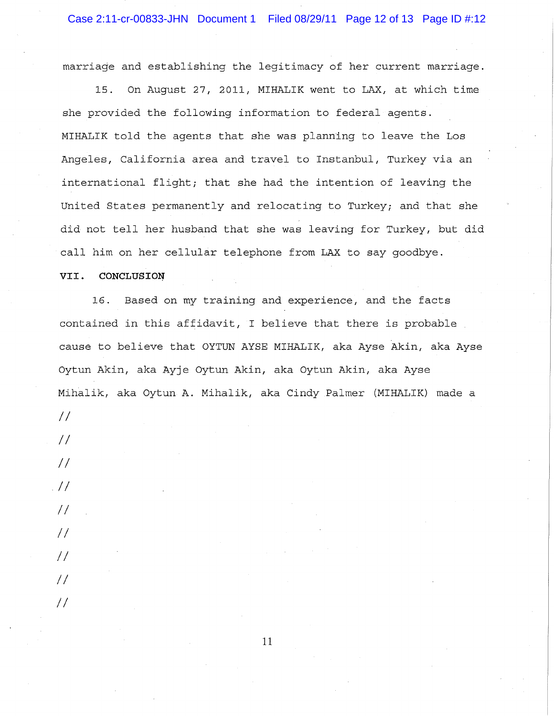marriage and establishing the legitimacy of her current marriage.

15. On August 27, 2011, MIHALIK went to LAX, at which time she provided the following information to federal agents. MIHALIK told the agents that she was planning to leave the Los Angeles, California area and travel to Instanbul, Turkey via an international flight; that she had the intention of leaving the United States permanently and relocating to Turkey; and that she did not tell her husband that she was leaving for Turkey, but did call him on her cellular telephone from LAX to say goodbye.

### VII. CONCLUSION

16. Based on my training and experience, and the facts contained in this affidavit, I believe that there is probable cause to believe that OYTUN AYSE MIHALIK, aka Ayse Akin, aka Ayse Oytun Akin, aka Ayje Oytun Akin, aka Oytun Akin, aka Ayse Mihalik, aka Oytun A. Mihalik, aka Cindy Palmer (MIHALIK) made a

11

*II* 

*II* 

*II* 

*. II* 

*II* 

*II* 

*II* 

*II* 

*II*